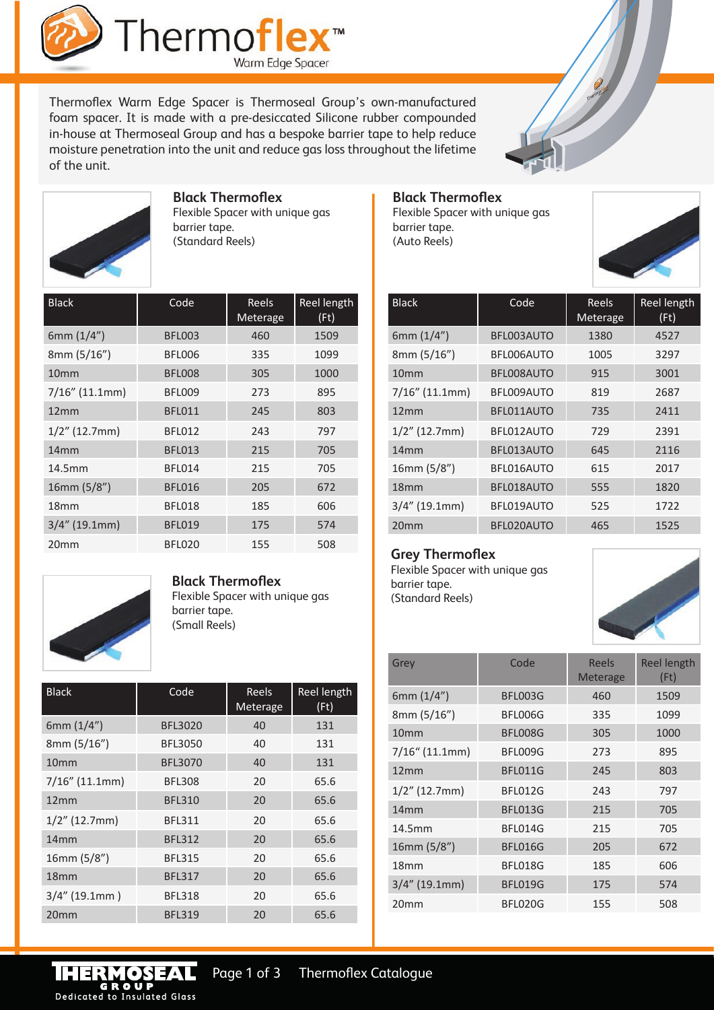

Thermoflex Warm Edge Spacer is Thermoseal Group's own-manufactured foam spacer. It is made with a pre-desiccated Silicone rubber compounded in-house at Thermoseal Group and has a bespoke barrier tape to help reduce moisture penetration into the unit and reduce gas loss throughout the lifetime of the unit.





#### **Black Thermoflex**

Flexible Spacer with unique gas barrier tape. (Standard Reels)

| <b>Black</b>      | Code          | Reels<br>Meterage | Reel length<br>(Ft) |
|-------------------|---------------|-------------------|---------------------|
| 6mm $(1/4")$      | <b>BFL003</b> | 460               | 1509                |
| 8mm (5/16")       | BFL006        | 335               | 1099                |
| 10 <sub>mm</sub>  | <b>BFL008</b> | 305               | 1000                |
| $7/16''$ (11.1mm) | BFL009        | 273               | 895                 |
| 12mm              | <b>BFL011</b> | 245               | 803                 |
| $1/2$ " (12.7mm)  | <b>BFL012</b> | 243               | 797                 |
| 14mm              | <b>BFL013</b> | 215               | 705                 |
| 14.5mm            | <b>BFL014</b> | 215               | 705                 |
| 16mm (5/8")       | <b>BFL016</b> | 205               | 672                 |
| 18 <sub>mm</sub>  | <b>BFL018</b> | 185               | 606                 |
| $3/4''$ (19.1mm)  | <b>BFL019</b> | 175               | 574                 |
| 20 <sub>mm</sub>  | <b>BFL020</b> | 155               | 508                 |

# **Black Thermoflex**

Flexible Spacer with unique gas barrier tape. (Auto Reels)



| <b>Black</b>      | Code       | Reels<br>Meterage | <b>Reel length</b><br>(Ft) |
|-------------------|------------|-------------------|----------------------------|
| 6mm $(1/4")$      | BFL003AUTO | 1380              | 4527                       |
| 8mm(5/16")        | BFL006AUTO | 1005              | 3297                       |
| 10 <sub>mm</sub>  | BFL008AUTO | 915               | 3001                       |
| $7/16''$ (11.1mm) | BFL009AUTO | 819               | 2687                       |
| 12mm              | BFL011AUTO | 735               | 2411                       |
| $1/2$ " (12.7mm)  | BFL012AUTO | 729               | 2391                       |
| 14mm              | BFL013AUTO | 645               | 2116                       |
| 16mm(5/8")        | BFL016AUTO | 615               | 2017                       |
| 18 <sub>mm</sub>  | BFL018AUTO | 555               | 1820                       |
| $3/4''$ (19.1mm)  | BFL019AUTO | 525               | 1722                       |
| 20 <sub>mm</sub>  | BFL020AUTO | 465               | 1525                       |

#### **Grey Thermoflex**

Flexible Spacer with unique gas barrier tape. (Standard Reels)



| Grey              | Code           | Reels<br>Meterage | <b>Reel length</b><br>(Ft) |
|-------------------|----------------|-------------------|----------------------------|
| 6mm $(1/4")$      | BFL003G        | 460               | 1509                       |
| 8mm (5/16")       | BFL006G        | 335               | 1099                       |
| 10 <sub>mm</sub>  | BFL008G        | 305               | 1000                       |
| $7/16$ " (11.1mm) | BFL009G        | 273               | 895                        |
| 12mm              | BFL011G        | 245               | 803                        |
| $1/2$ " (12.7mm)  | <b>BFL012G</b> | 243               | 797                        |
| 14mm              | <b>BFL013G</b> | 215               | 705                        |
| 14.5mm            | BFL014G        | 215               | 705                        |
| 16mm (5/8")       | <b>BFL016G</b> | 205               | 672                        |
| 18 <sub>mm</sub>  | BFL018G        | 185               | 606                        |
| $3/4''$ (19.1mm)  | <b>BFL019G</b> | 175               | 574                        |
| 20 <sub>mm</sub>  | BFL020G        | 155               | 508                        |



**Black Thermoflex**  Flexible Spacer with unique gas barrier tape. (Small Reels)

| <b>Black</b>      | Code           | <b>Reels</b><br>Meterage | Reel length<br>(Ft) |
|-------------------|----------------|--------------------------|---------------------|
| 6mm $(1/4")$      | <b>BFL3020</b> | 40                       | 131                 |
| 8mm (5/16")       | <b>BFL3050</b> | 40                       | 131                 |
| 10 <sub>mm</sub>  | <b>BFL3070</b> | 40                       | 131                 |
| $7/16''$ (11.1mm) | <b>BFL308</b>  | 20                       | 65.6                |
| 12mm              | <b>BFL310</b>  | 20                       | 65.6                |
| $1/2$ " (12.7mm)  | <b>BFL311</b>  | 20                       | 65.6                |
| 14mm              | <b>BFL312</b>  | 20                       | 65.6                |
| 16mm(5/8")        | <b>BFL315</b>  | 20                       | 65.6                |
| 18 <sub>mm</sub>  | <b>BFL317</b>  | 20                       | 65.6                |
| $3/4$ " (19.1mm)  | <b>BFL318</b>  | 20                       | 65.6                |
| 20mm              | <b>BFL319</b>  | 20                       | 65.6                |

Dedicated to Insulated Glass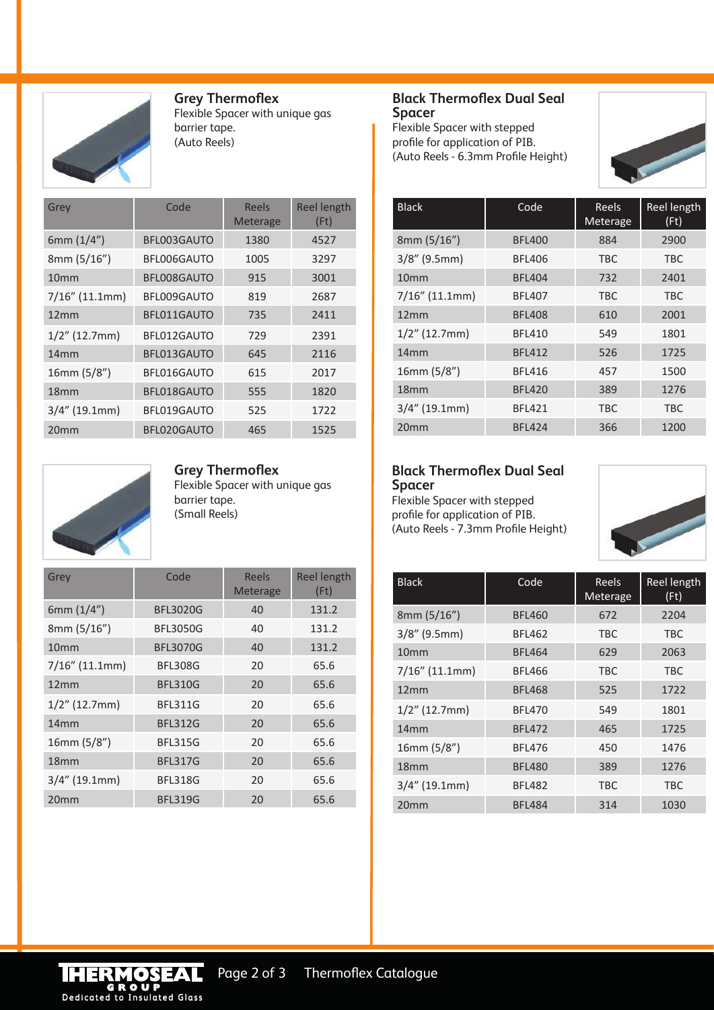

**Grey Thermoflex** Flexible Spacer with unique gas

barrier tape. (Auto Reels)

| Grey              | Code        | Reels<br><b>Meterage</b> | <b>Reel length</b><br>(Ft) |
|-------------------|-------------|--------------------------|----------------------------|
| 6mm $(1/4")$      | BFL003GAUTO | 1380                     | 4527                       |
| 8mm(5/16")        | BFL006GAUTO | 1005                     | 3297                       |
| 10 <sub>mm</sub>  | BFL008GAUTO | 915                      | 3001                       |
| $7/16''$ (11.1mm) | BFL009GAUTO | 819                      | 2687                       |
| 12mm              | BFL011GAUTO | 735                      | 2411                       |
| $1/2$ " (12.7mm)  | BFL012GAUTO | 729                      | 2391                       |
| 14 <sub>mm</sub>  | BFL013GAUTO | 645                      | 2116                       |
| 16mm (5/8")       | BFL016GAUTO | 615                      | 2017                       |
| 18 <sub>mm</sub>  | BFL018GAUTO | 555                      | 1820                       |
| $3/4''$ (19.1mm)  | BFL019GAUTO | 525                      | 1722                       |
| 20 <sub>mm</sub>  | BFL020GAUTO | 465                      | 1525                       |



**Grey Thermoflex**

Flexible Spacer with unique gas barrier tape. (Small Reels)

| Grey              | Code            | Reels<br><b>Meterage</b> | <b>Reel length</b><br>(Ft) |
|-------------------|-----------------|--------------------------|----------------------------|
| 6mm $(1/4")$      | <b>BFL3020G</b> | 40                       | 131.2                      |
| 8mm (5/16")       | <b>BFL3050G</b> | 40                       | 131.2                      |
| 10 <sub>mm</sub>  | <b>BFL3070G</b> | 40                       | 131.2                      |
| $7/16''$ (11.1mm) | <b>BFL308G</b>  | 20                       | 65.6                       |
| 12mm              | <b>BFL310G</b>  | 20                       | 65.6                       |
| $1/2$ " (12.7mm)  | <b>BFL311G</b>  | 20                       | 65.6                       |
| 14mm              | <b>BFL312G</b>  | 20                       | 65.6                       |
| 16mm(5/8")        | <b>BFL315G</b>  | 20                       | 65.6                       |
| 18 <sub>mm</sub>  | <b>BFL317G</b>  | 20                       | 65.6                       |
| $3/4''$ (19.1mm)  | <b>BFL318G</b>  | 20                       | 65.6                       |
| 20mm              | <b>BFL319G</b>  | 20                       | 65.6                       |

#### **Black Thermoflex Dual Seal Spacer**

Flexible Spacer with stepped profile for application of PIB. (Auto Reels - 6.3mm Profile Height)



| <b>Black</b>      | Code          | Reels<br>Meterage | Reel length<br>(Ft) |
|-------------------|---------------|-------------------|---------------------|
| 8mm(5/16")        | <b>BFL400</b> | 884               | 2900                |
| $3/8''$ (9.5mm)   | <b>BFL406</b> | TBC               | TBC                 |
| 10 <sub>mm</sub>  | <b>BFL404</b> | 732               | 2401                |
| $7/16''$ (11.1mm) | <b>BFL407</b> | TBC               | TBC                 |
| 12mm              | <b>BFL408</b> | 610               | 2001                |
| $1/2$ " (12.7mm)  | <b>BFL410</b> | 549               | 1801                |
| 14mm              | <b>BFL412</b> | 526               | 1725                |
| 16mm (5/8")       | <b>BFL416</b> | 457               | 1500                |
| 18 <sub>mm</sub>  | <b>BFL420</b> | 389               | 1276                |
| $3/4''$ (19.1mm)  | <b>BFL421</b> | TBC               | <b>TBC</b>          |
| 20 <sub>mm</sub>  | <b>BFL424</b> | 366               | 1200                |

### **Black Thermoflex Dual Seal Spacer**

Flexible Spacer with stepped profile for application of PIB. (Auto Reels - 7.3mm Profile Height)



| <b>Black</b>      | Code          | Reels<br>Meterage | Reel length<br>(Ft) |
|-------------------|---------------|-------------------|---------------------|
| 8mm (5/16")       | <b>BFL460</b> | 672               | 2204                |
| $3/8''$ (9.5mm)   | <b>BFL462</b> | <b>TBC</b>        | <b>TBC</b>          |
| 10 <sub>mm</sub>  | <b>BFL464</b> | 629               | 2063                |
| $7/16''$ (11.1mm) | <b>BFL466</b> | <b>TBC</b>        | <b>TBC</b>          |
| 12mm              | <b>BFL468</b> | 525               | 1722                |
| $1/2$ " (12.7mm)  | <b>BFL470</b> | 549               | 1801                |
| 14 <sub>mm</sub>  | <b>BFL472</b> | 465               | 1725                |
| 16mm (5/8")       | <b>BFL476</b> | 450               | 1476                |
| 18 <sub>mm</sub>  | <b>BFL480</b> | 389               | 1276                |
| $3/4''$ (19.1mm)  | <b>BFL482</b> | <b>TBC</b>        | <b>TBC</b>          |
| 20 <sub>mm</sub>  | <b>BFL484</b> | 314               | 1030                |

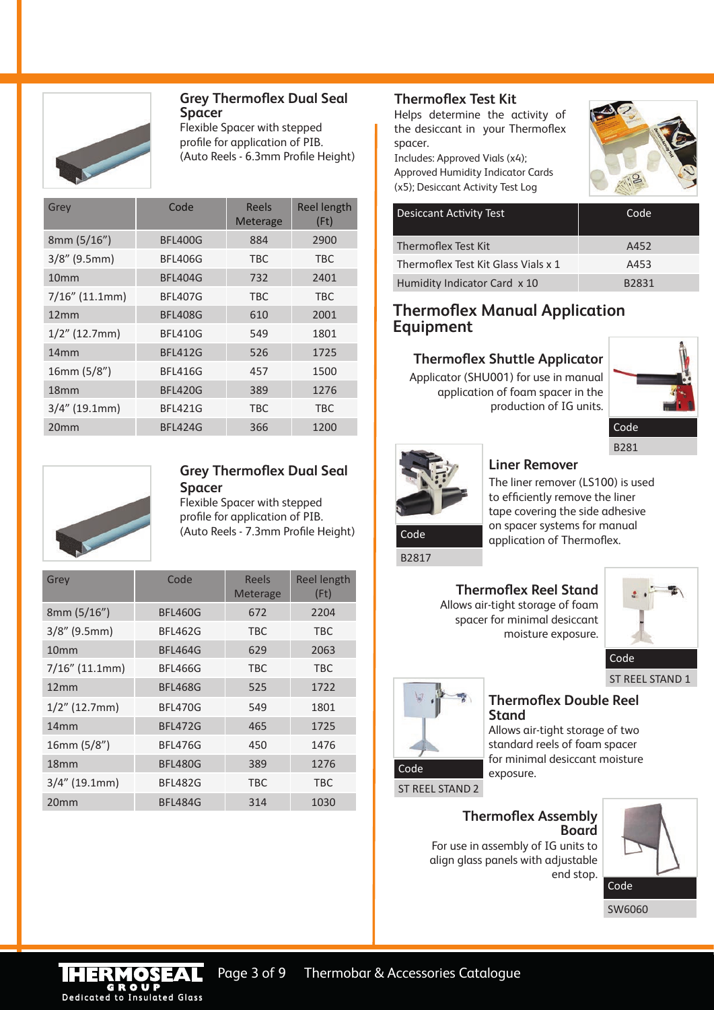

#### **Grey Thermoflex Dual Seal Spacer**

Flexible Spacer with stepped profile for application of PIB. (Auto Reels - 6.3mm Profile Height)

| Grey              | Code           | Reels<br><b>Meterage</b> | <b>Reel length</b><br>(Ft) |
|-------------------|----------------|--------------------------|----------------------------|
| 8mm (5/16")       | <b>BFL400G</b> | 884                      | 2900                       |
| $3/8''$ (9.5mm)   | <b>BFL406G</b> | <b>TBC</b>               | <b>TBC</b>                 |
| 10 <sub>mm</sub>  | <b>BFL404G</b> | 732                      | 2401                       |
| $7/16''$ (11.1mm) | <b>BFL407G</b> | <b>TBC</b>               | <b>TBC</b>                 |
| 12mm              | <b>BFL408G</b> | 610                      | 2001                       |
| $1/2$ " (12.7mm)  | <b>BFL410G</b> | 549                      | 1801                       |
| 14mm              | <b>BFL412G</b> | 526                      | 1725                       |
| 16mm(5/8")        | <b>BFL416G</b> | 457                      | 1500                       |
| 18 <sub>mm</sub>  | <b>BFL420G</b> | 389                      | 1276                       |
| $3/4''$ (19.1mm)  | <b>BFL421G</b> | <b>TBC</b>               | <b>TBC</b>                 |
| 20 <sub>mm</sub>  | BFL424G        | 366                      | 1200                       |



#### **Grey Thermoflex Dual Seal Spacer**

Flexible Spacer with stepped profile for application of PIB. (Auto Reels - 7.3mm Profile Height)

| Grey              | Code           | Reels<br>Meterage | <b>Reel length</b><br>(Ft) |
|-------------------|----------------|-------------------|----------------------------|
| 8mm(5/16")        | <b>BFL460G</b> | 672               | 2204                       |
| $3/8''$ (9.5mm)   | <b>BFL462G</b> | TBC               | <b>TBC</b>                 |
| 10 <sub>mm</sub>  | <b>BFL464G</b> | 629               | 2063                       |
| $7/16''$ (11.1mm) | <b>BFL466G</b> | <b>TBC</b>        | <b>TBC</b>                 |
| 12mm              | <b>BFL468G</b> | 525               | 1722                       |
| $1/2$ " (12.7mm)  | <b>BFL470G</b> | 549               | 1801                       |
| 14mm              | <b>BFL472G</b> | 465               | 1725                       |
| 16mm (5/8")       | <b>BFL476G</b> | 450               | 1476                       |
| 18 <sub>mm</sub>  | <b>BFL480G</b> | 389               | 1276                       |
| $3/4''$ (19.1mm)  | <b>BFL482G</b> | <b>TBC</b>        | <b>TBC</b>                 |
| 20 <sub>mm</sub>  | <b>BFL484G</b> | 314               | 1030                       |

#### **Thermoflex Test Kit**

Helps determine the activity of the desiccant in your Thermoflex spacer.

Includes: Approved Vials (x4); Approved Humidity Indicator Cards (x5); Desiccant Activity Test Log



| <b>Desiccant Activity Test</b>      | Code               |
|-------------------------------------|--------------------|
| Thermoflex Test Kit                 | A452               |
| Thermoflex Test Kit Glass Vials x 1 | A453               |
| Humidity Indicator Card x 10        | B <sub>2</sub> 831 |

# **Thermoflex Manual Application Equipment**

### **Thermoflex Shuttle Applicator**

Applicator (SHU001) for use in manual application of foam spacer in the production of IG units.



B281



### **Liner Remover**

The liner remover (LS100) is used to efficiently remove the liner tape covering the side adhesive on spacer systems for manual **Code application of Thermoflex.** 

B2817

**Thermoflex Reel Stand** Allows air-tight storage of foam spacer for minimal desiccant moisture exposure.



ST REEL STAND 1



## **Thermoflex Double Reel Stand**

Allows air-tight storage of two standard reels of foam spacer for minimal desiccant moisture

**Thermoflex Assembly Board**

For use in assembly of IG units to align glass panels with adjustable end stop.